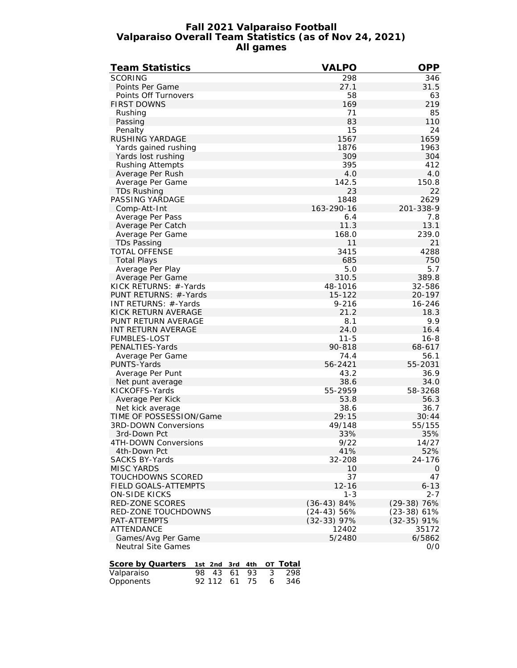#### **Fall 2021 Valparaiso Football Valparaiso Overall Team Statistics (as of Nov 24, 2021) All games**

| <b>Team Statistics</b>                                      | <b>VALPO</b>  | <b>OPP</b>       |
|-------------------------------------------------------------|---------------|------------------|
| <b>SCORING</b>                                              | 298           | 346              |
| Points Per Game                                             | 27.1          | 31.5             |
| Points Off Turnovers                                        | 58            | 63               |
| <b>FIRST DOWNS</b>                                          | 169           | 219              |
| Rushing                                                     | 71            | 85               |
| Passing                                                     | 83            | 110              |
| Penalty                                                     | 15            | 24               |
| <b>RUSHING YARDAGE</b>                                      | 1567          | 1659             |
| Yards gained rushing                                        | 1876          | 1963             |
| Yards lost rushing                                          | 309           | 304              |
| <b>Rushing Attempts</b>                                     | 395           | 412              |
| Average Per Rush                                            | 4.0           | 4.0              |
| Average Per Game                                            | 142.5         | 150.8            |
| TDs Rushing                                                 | 23            | 22               |
| PASSING YARDAGE                                             | 1848          | 2629             |
| Comp-Att-Int                                                | 163-290-16    | 201-338-9        |
|                                                             |               | 7.8              |
| Average Per Pass<br>Average Per Catch                       | 6.4<br>11.3   | 13.1             |
|                                                             | 168.0         | 239.0            |
| Average Per Game                                            | 11            | 21               |
| <b>TDs Passing</b>                                          |               |                  |
| TOTAL OFFENSE                                               | 3415          | 4288             |
| <b>Total Plays</b>                                          | 685<br>5.0    | 750<br>5.7       |
| Average Per Play                                            |               |                  |
| Average Per Game                                            | 310.5         | 389.8            |
| KICK RETURNS: #-Yards                                       | 48-1016       | 32-586           |
| PUNT RETURNS: #-Yards<br>INT RETURNS: #-Yards               | $15 - 122$    | 20-197<br>16-246 |
|                                                             | $9 - 216$     |                  |
| KICK RETURN AVERAGE<br>PUNT RETURN AVERAGE                  | 21.2<br>8.1   | 18.3<br>9.9      |
| INT RETURN AVERAGE                                          | 24.0          | 16.4             |
| <b>FUMBLES-LOST</b>                                         | $11 - 5$      | $16 - 8$         |
| PENALTIES-Yards                                             | 90-818        | 68-617           |
| Average Per Game                                            | 74.4          | 56.1             |
| PUNTS-Yards                                                 | 56-2421       | 55-2031          |
| Average Per Punt                                            | 43.2          | 36.9             |
|                                                             | 38.6          | 34.0             |
| Net punt average<br>KICKOFFS-Yards                          | 55-2959       | 58-3268          |
| Average Per Kick                                            | 53.8          | 56.3             |
|                                                             | 38.6          | 36.7             |
| Net kick average<br>TIME OF POSSESSION/Game                 | 29:15         | 30:44            |
| 3RD-DOWN Conversions                                        | 49/148        | 55/155           |
| 3rd-Down Pct                                                | 33%           | 35%              |
| 4TH-DOWN Conversions                                        | 9/22          | 14/27            |
| 4th-Down Pct                                                | 41%           | 52%              |
| <b>SACKS BY-Yards</b>                                       | 32-208        | 24-176           |
| <b>MISC YARDS</b>                                           |               | $\mathbf 0$      |
| TOUCHDOWNS SCORED                                           | 10<br>37      | 47               |
| FIELD GOALS-ATTEMPTS                                        | $12 - 16$     | $6 - 13$         |
| <b>ON-SIDE KICKS</b>                                        | $1 - 3$       | $2 - 7$          |
| RED-ZONE SCORES                                             | $(36-43)84%$  | $(29-38)$ 76%    |
| RED-ZONE TOUCHDOWNS                                         | $(24-43) 56%$ | (23-38) 61%      |
| PAT-ATTEMPTS                                                | $(32-33)$ 97% | $(32-35)$ 91%    |
| <b>ATTENDANCE</b>                                           | 12402         | 35172            |
| Games/Avg Per Game                                          | 5/2480        | 6/5862           |
| <b>Neutral Site Games</b>                                   |               | O/O              |
|                                                             |               |                  |
| Score by Quarters<br>Total<br>1st 2nd 3rd 4th<br>ОT         |               |                  |
| $\overline{43}$<br>93<br>3<br>Valparaiso<br>98<br>61<br>298 |               |                  |
|                                                             |               |                  |

| v aiparaiso | $\overline{10}$ $\overline{10}$ $\overline{01}$ $\overline{10}$ $\overline{0}$ $\overline{0}$ $\overline{0}$ $\overline{0}$ $\overline{0}$ $\overline{0}$ $\overline{0}$ $\overline{0}$ $\overline{0}$ $\overline{0}$ $\overline{0}$ $\overline{0}$ $\overline{0}$ $\overline{0}$ $\overline{0}$ $\overline{0}$ $\overline{0}$ $\overline{0}$ $\overline{0}$ $\overline{0}$ |  |  |
|-------------|-----------------------------------------------------------------------------------------------------------------------------------------------------------------------------------------------------------------------------------------------------------------------------------------------------------------------------------------------------------------------------|--|--|
| Opponents   | 92 112 61 75 6 346                                                                                                                                                                                                                                                                                                                                                          |  |  |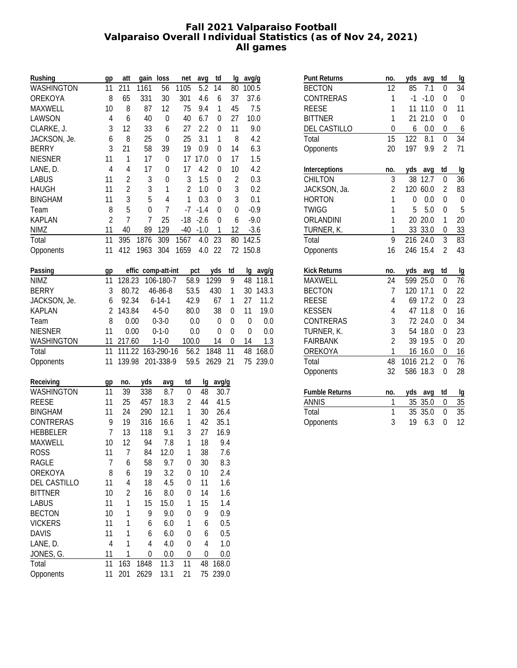### **Fall 2021 Valparaiso Football Valparaiso Overall Individual Statistics (as of Nov 24, 2021) All games**

| Rushing         | gp             | att            | gain loss |                    | net            | avg              | td               | lg               | avg/g |          |
|-----------------|----------------|----------------|-----------|--------------------|----------------|------------------|------------------|------------------|-------|----------|
| WASHINGTON      | 11             | 211            | 1161      | 56                 | 1105           | 5.2              | 14               | 80               | 100.5 |          |
| OREKOYA         | 8              | 65             | 331       | 30                 | 301            | 4.6              | 6                | 37               | 37.6  |          |
| MAXWELL         | 10             | 8              | 87        | 12                 | 75             | 9.4              | 1                | 45               |       | 7.5      |
| LAWSON          | 4              | 6              | 40        | $\mathbf 0$        | 40             | 6.7              | 0                | 27               |       | 10.0     |
| CLARKE, J.      | $\sqrt{3}$     | 12             | 33        | 6                  | 27             | 2.2              | 0                | 11               |       | 9.0      |
| JACKSON, Je.    | 6              | 8              | 25        | $\mathbf 0$        | 25             | 3.1              | 1                | 8                |       | 4.2      |
| <b>BERRY</b>    | 3              | 21             | 58        | 39                 | 19             | 0.9              | 0                | 14               |       | 6.3      |
| <b>NIESNER</b>  | 11             | $\mathbf{1}$   | 17        | $\pmb{0}$          | 17             | 17.0             | 0                | 17               |       | 1.5      |
| LANE, D.        | $\overline{4}$ | $\overline{4}$ | 17        | $\mathbf 0$        | 17             | 4.2              | 0                | 10               |       | 4.2      |
| <b>LABUS</b>    | 11             | $\sqrt{2}$     | 3         | $\pmb{0}$          | 3              | 1.5              | 0                | 2                |       | 0.3      |
| <b>HAUGH</b>    | 11             | $\overline{c}$ | 3         | $\mathbf{1}$       | $\overline{2}$ | 1.0              | 0                | 3                |       | 0.2      |
| <b>BINGHAM</b>  | 11             | 3              | 5         | $\overline{4}$     | 1              | 0.3              | 0                | 3                |       | 0.1      |
| Team            | 8              | 5              | 0         | $\overline{1}$     | $-7$           | $-1.4$           | 0                | $\boldsymbol{0}$ |       | $-0.9$   |
| <b>KAPLAN</b>   | $\overline{2}$ | $\overline{1}$ | 7         | 25                 | $-18$          | $-2.6$           | $\boldsymbol{0}$ | 6                |       | $-9.0$   |
| <b>NIMZ</b>     | 11             | 40             | 89        | 129                | $-40$          | $-1.0$           | $\mathbf 1$      | 12               |       | $-3.6$   |
| Total           | 11             | 395            | 1876      | 309                | 1567           | 4.0              | 23               | 80               | 142.5 |          |
| Opponents       | 11             | 412            | 1963      | 304                | 1659           | 4.0              | 22               | 72               | 150.8 |          |
|                 |                |                |           |                    |                |                  |                  |                  |       |          |
| Passing         | gp             |                |           | effic comp-att-int |                | pct              | yds              | td               |       | lg avg/g |
| <b>NIMZ</b>     | 11             | 128.23         |           | 106-180-7          | 58.9           |                  | 1299             | 9                | 48    | 118.1    |
| <b>BERRY</b>    | 3              | 80.72          |           | 46-86-8            | 53.5           |                  | 430              | 1                | 30    | 143.3    |
| JACKSON, Je.    | 6              | 92.34          |           | $6 - 14 - 1$       | 42.9           |                  | 67               | 1                | 27    | 11.2     |
| <b>KAPLAN</b>   | $\overline{2}$ | 143.84         |           | $4 - 5 - 0$        | 80.0           |                  | 38               | 0                | 11    | 19.0     |
| Team            | 8              | 0.00           |           | $0 - 3 - 0$        |                | 0.0              | 0                | 0                | 0     | 0.0      |
| <b>NIESNER</b>  | 11             | 0.00           |           | $0 - 1 - 0$        |                | 0.0              | 0                | $\boldsymbol{0}$ | 0     | 0.0      |
| WASHINGTON      | 11             | 217.60         |           | $1 - 1 - 0$        | 100.0          |                  | 14               | 0                | 14    | 1.3      |
| Total           | 11             | 111.22         |           | 163-290-16         | 56.2           |                  | 1848             | 11               | 48    | 168.0    |
| Opponents       | 11             | 139.98         |           | 201-338-9          | 59.5           |                  | 2629             | 21               | 75    | 239.0    |
|                 |                |                |           |                    |                |                  |                  |                  |       |          |
| Receiving       | gp             | no.            | yds       | avg                | td             | Ig               | avg/g            |                  |       |          |
| WASHINGTON      | 11             | 39             | 338       | 8.7                | 0              | 48               | 30.7             |                  |       |          |
| <b>REESE</b>    | 11             | 25             | 457       | 18.3               | $\overline{2}$ | 44               | 41.5             |                  |       |          |
| <b>BINGHAM</b>  | 11             | 24             | 290       | 12.1               | 1              | 30               | 26.4             |                  |       |          |
| CONTRERAS       | 9              | 19             | 316       | 16.6               | 1              | 42               | 35.1             |                  |       |          |
| <b>HEBBELER</b> | $\overline{1}$ | 13             | 118       | 9.1                | 3              | 27               | 16.9             |                  |       |          |
| MAXWELL         | 10             | 12             | 94        | 7.8                | 1              | 18               |                  | 9.4              |       |          |
| ROSS            | 11             | 7              | 84        | 12.0               | 1              | 38               |                  | 7.6              |       |          |
| RAGLE           | 7              | 6              | 58        | 9.7                | 0              | 30               |                  | 8.3              |       |          |
| OREKOYA         | 8              | 6              | 19        | 3.2                | 0              | 10               |                  | 2.4              |       |          |
| DEL CASTILLO    | 11             | 4              | 18        | 4.5                | 0              | 11               |                  | 1.6              |       |          |
| <b>BITTNER</b>  | 10             | $\overline{c}$ | 16        | 8.0                | 0              | 14               |                  | 1.6              |       |          |
| <b>LABUS</b>    | 11             | 1              | 15        | 15.0               | 1              | 15               |                  | 1.4              |       |          |
| <b>BECTON</b>   | 10             | 1              | 9         | 9.0                | 0              | 9                |                  | 0.9              |       |          |
| <b>VICKERS</b>  | 11             | 1              | 6         | 6.0                | 1              | 6                |                  | 0.5              |       |          |
| <b>DAVIS</b>    | 11             | 1              | 6         | 6.0                | 0              | 6                |                  | 0.5              |       |          |
| LANE, D.        | $\overline{4}$ | 1              | 4         | 4.0                | 0              | 4                |                  | 1.0              |       |          |
| JONES, G.       | 11             | $\mathbf{1}$   | 0         | 0.0                | 0              | $\boldsymbol{0}$ |                  | 0.0              |       |          |
| Total           | 11             | 163            | 1848      | 11.3               | 11             | 48               | 168.0            |                  |       |          |
| Opponents       | 11             | 201            | 2629      | 13.1               | 21             | 75               | 239.0            |                  |       |          |

| <b>Punt Returns</b>   | no.            | yds  | avq      | td             | Ig    |
|-----------------------|----------------|------|----------|----------------|-------|
| <b>BECTON</b>         | 12             | 85   | 7.1      | 0              | 34    |
| CONTRERAS             | 1              | $-1$ | $-1.0$   | $\overline{0}$ | 0     |
| <b>REESE</b>          | 1              | 11   | 11.0     | 0              | 11    |
| <b>BITTNER</b>        | 1              | 21   | 21.0     | $\overline{0}$ | 0     |
| <b>DEL CASTILLO</b>   | $\overline{0}$ | 6    | 0.0      | 0              | 6     |
| Total                 | 15             | 122  | 8.1      | 0              | 34    |
| Opponents             | 20             | 197  | 9.9      | $\overline{2}$ | 71    |
| Interceptions         | no.            | yds  | avg      | td             | lg    |
| <b>CHILTON</b>        | 3              | 38   | 12.7     | 0              | 36    |
| JACKSON, Ja.          | $\overline{2}$ |      | 120 60.0 | $\overline{2}$ | 83    |
| <b>HORTON</b>         | 1              | 0    | 0.0      | 0              | 0     |
| <b>TWIGG</b>          | 1              | 5    | 5.0      | 0              | 5     |
| ORLANDINI             | $\mathbf{1}$   |      | 20 20.0  | 1              | 20    |
| TURNER, K.            | 1              |      | 33 33.0  | 0              | 33    |
| Total                 | 9              |      | 216 24.0 | 3              | 83    |
| Opponents             | 16             |      | 246 15.4 | $\overline{2}$ | 43    |
| <b>Kick Returns</b>   | no.            | yds  | avg      | td             | Ig    |
| MAXWELL               | 24             | 599  | 25.0     | $\mathbf 0$    | 76    |
| <b>BECTON</b>         | 7              | 120  | 17.1     | 0              | 22    |
| <b>REESE</b>          | 4              | 69   | 17.2     | 0              | 23    |
| <b>KESSEN</b>         | 4              | 47   | 11.8     | 0              | 16    |
| CONTRERAS             | 3              | 72   | 24.0     | $\overline{0}$ | 34    |
| TURNER, K.            | 3              |      | 54 18.0  | 0              | 23    |
| <b>FAIRBANK</b>       | $\overline{2}$ | 39   | 19.5     | 0              | 20    |
| OREKOYA               | $\overline{1}$ | 16   | 16.0     | 0              | 16    |
| Total                 | 48             | 1016 | 21.2     | 0              | 76    |
| Opponents             | 32             | 586  | 18.3     | $\overline{0}$ | 28    |
| <b>Fumble Returns</b> | no.            | yds  | avg      | td             | $\lg$ |
| <b>ANNIS</b>          | 1              | 35   | 35.0     | 0              | 35    |
| Total                 | 1              | 35   | 35.0     | 0              | 35    |
| Opponents             | 3              | 19   | 6.3      | $\overline{0}$ | 12    |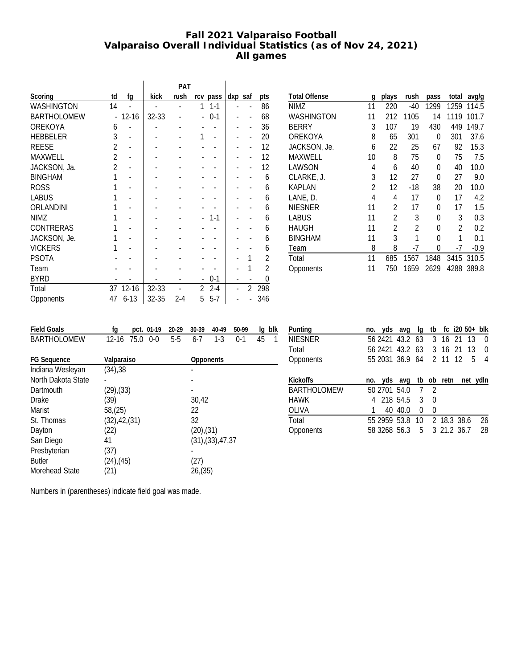# **Fall 2021 Valparaiso Football Valparaiso Overall Individual Statistics (as of Nov 24, 2021) All games**

|                    |                |           |           | PAT     |   |                |         |                          |                |
|--------------------|----------------|-----------|-----------|---------|---|----------------|---------|--------------------------|----------------|
| Scoring            | td             | fq        | kick      | rush    |   | rcv pass       | dxp saf |                          | pts            |
| WASHINGTON         | 14             |           |           |         | 1 | $1 - 1$        |         |                          | 86             |
| <b>BARTHOLOMEW</b> | $\overline{a}$ | $12 - 16$ | $32 - 33$ |         |   | $0-1$          |         | $\overline{a}$           | 68             |
| OREKOYA            | 6              |           |           |         |   |                |         | $\overline{a}$           | 36             |
| <b>HEBBELER</b>    | 3              |           |           |         | 1 | $\overline{a}$ |         | $\overline{a}$           | 20             |
| <b>REESE</b>       | $\overline{2}$ |           |           |         |   |                |         | $\overline{\phantom{0}}$ | 12             |
| MAXWELL            | $\overline{2}$ |           |           |         |   |                |         |                          | 12             |
| JACKSON, Ja.       | $\overline{2}$ |           |           |         |   |                |         |                          | 12             |
| <b>BINGHAM</b>     | 1              |           |           |         |   |                |         |                          | 6              |
| <b>ROSS</b>        | 1              |           |           |         |   |                |         |                          | 6              |
| <b>LABUS</b>       |                |           |           |         |   |                |         |                          | 6              |
| ORLANDINI          |                |           |           |         |   |                |         | $\overline{\phantom{0}}$ | 6              |
| <b>NIMZ</b>        |                |           |           |         |   | $1 - 1$        |         |                          | 6              |
| <b>CONTRERAS</b>   |                |           |           |         |   |                |         |                          | 6              |
| JACKSON, Je.       | 1              |           |           |         |   |                |         |                          | 6              |
| <b>VICKERS</b>     | 1              |           |           |         |   |                |         |                          | 6              |
| <b>PSOTA</b>       |                |           |           |         |   |                |         | 1                        | $\overline{2}$ |
| Team               |                |           |           |         |   |                |         | 1                        | $\mathfrak{p}$ |
| <b>BYRD</b>        |                |           |           |         |   | $0 - 1$        |         |                          | 0              |
| Total              | 37             | $12 - 16$ | 32-33     |         | 2 | $2 - 4$        |         | 2                        | 298            |
| Opponents          | 47             | $6 - 13$  | 32-35     | $2 - 4$ | 5 | $5 - 7$        |         |                          | 346            |

| <b>Total Offense</b> | q  | plays          | rush           | pass | total | avg/g  |
|----------------------|----|----------------|----------------|------|-------|--------|
| NIMZ                 | 11 | 220            | -40            | 1299 | 1259  | 114.5  |
| WASHINGTON           | 11 | 212            | 1105           | 14   | 1119  | 101.7  |
| <b>BERRY</b>         | 3  | 107            | 19             | 430  | 449   | 149.7  |
| OREKOYA              | 8  | 65             | 301            | 0    | 301   | 37.6   |
| JACKSON, Je.         | 6  | 22             | 25             | 67   | 92    | 15.3   |
| MAXWELL              | 10 | 8              | 75             | 0    | 75    | 7.5    |
| LAWSON               | 4  | 6              | 40             | 0    | 40    | 10.0   |
| CLARKE, J.           | 3  | 12             | 27             | 0    | 27    | 9.0    |
| <b>KAPLAN</b>        | 2  | 12             | -18            | 38   | 20    | 10.0   |
| LANE, D.             | 4  | 4              | 17             | 0    | 17    | 4.2    |
| <b>NIESNER</b>       | 11 | $\mathfrak{p}$ | 17             | 0    | 17    | 1.5    |
| LABUS                | 11 | $\mathfrak{p}$ | 3              | 0    | 3     | 0.3    |
| HAUGH                | 11 | $\mathfrak{p}$ | $\mathfrak{p}$ | 0    | 2     | 0.2    |
| <b>BINGHAM</b>       | 11 | 3              | 1              | 0    | 1     | 0.1    |
| Team                 | 8  | 8              | -7             | 0    | -7    | $-0.9$ |
| Total                | 11 | 685            | 1567           | 1848 | 3415  | 310.5  |
| Opponents            | 11 | 750            | 1659           | 2629 | 4288  | 389.8  |
|                      |    |                |                |      |       |        |

| <b>Field Goals</b> | fq              | pct. 01-19 | 20-29 | 30-39           | 40-49           | 50-99 | lq | blk          |
|--------------------|-----------------|------------|-------|-----------------|-----------------|-------|----|--------------|
| <b>BARTHOLOMEW</b> | $12 - 16$       | 75.0 0-0   | $5-5$ | $6 - 7$         | $1-3$           | $0-1$ | 45 | $\mathbf{1}$ |
| <b>FG Sequence</b> | Valparaiso      |            |       | Opponents       |                 |       |    |              |
|                    |                 |            |       |                 |                 |       |    |              |
| Indiana Wesleyan   | (34), 38        |            |       |                 |                 |       |    |              |
| North Dakota State |                 |            |       |                 |                 |       |    |              |
| Dartmouth          | $(29)$ , $(33)$ |            |       |                 |                 |       |    |              |
| Drake              | (39)            |            |       | 30,42           |                 |       |    |              |
| Marist             | 58(25)          |            |       | 22              |                 |       |    |              |
| St. Thomas         | (32), 42, (31)  |            |       | 32              |                 |       |    |              |
| Dayton             | (22)            |            |       | $(20)$ , $(31)$ |                 |       |    |              |
| San Diego          | 41              |            |       |                 | (31),(33),47,37 |       |    |              |
| Presbyterian       | (37)            |            |       |                 |                 |       |    |              |
| <b>Butler</b>      | $(24)$ , $(45)$ |            |       | (27)            |                 |       |    |              |
| Morehead State     | (21)            |            |       | 26(35)          |                 |       |    |              |
|                    |                 |            |       |                 |                 |       |    |              |

| Punting            | no. yds avg                  |         | lq |                | tb $fc$ i20 50+ blk |    |          |
|--------------------|------------------------------|---------|----|----------------|---------------------|----|----------|
| <b>NIESNER</b>     | 56 2421 43.2 63              |         |    |                | 3 16 21             | 13 | 0        |
| Total              | 56 2421 43.2 63 3 16 21 13 0 |         |    |                |                     |    |          |
| Opponents          | 55 2031 36.9 64              |         |    |                | 2 11 12             | 5  | 4        |
|                    |                              |         |    |                |                     |    |          |
| Kickoffs           | no. yds avg tb ob retn       |         |    |                |                     |    | net ydln |
| <b>BARTHOLOMEW</b> | 50 2701 54.0                 |         | 7  | $\overline{2}$ |                     |    |          |
| <b>HAWK</b>        | 4 218 54.5                   |         | 3  | $\Omega$       |                     |    |          |
| OLIVA              |                              | 40 40.0 | 0  | $\theta$       |                     |    |          |
| Total              | 55 2959 53.8 10 2 18.3 38.6  |         |    |                |                     |    | 26       |
| Opponents          | 58 3268 56.3                 |         |    |                | 5 3 21.2 36.7       |    | 28       |
|                    |                              |         |    |                |                     |    |          |

Numbers in (parentheses) indicate field goal was made.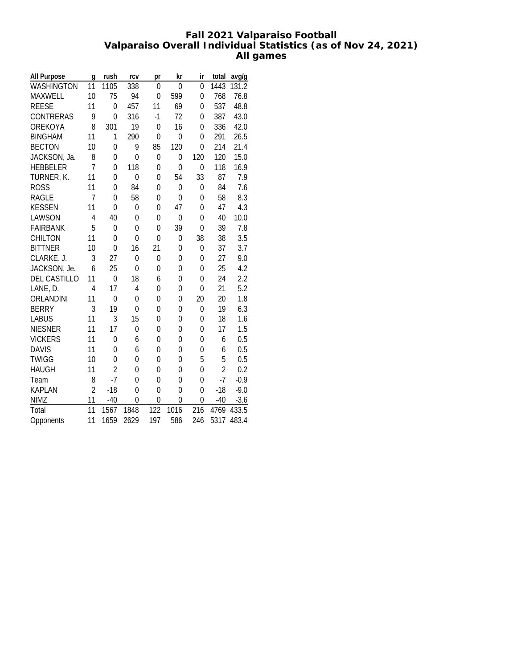# **Fall 2021 Valparaiso Football Valparaiso Overall Individual Statistics (as of Nov 24, 2021) All games**

| All Purpose         | q              | rush           | rcv            | pr               | kr           | ir             | total          | avg/g  |
|---------------------|----------------|----------------|----------------|------------------|--------------|----------------|----------------|--------|
| <b>WASHINGTON</b>   | 11             | 1105           | 338            | $\mathbf{0}$     | $\mathbf{0}$ | $\overline{0}$ | 1443           | 131.2  |
| MAXWELL             | 10             | 75             | 94             | $\mathbf 0$      | 599          | 0              | 768            | 76.8   |
| <b>REESE</b>        | 11             | $\Omega$       | 457            | 11               | 69           | $\mathbf{0}$   | 537            | 48.8   |
| <b>CONTRERAS</b>    | 9              | $\Omega$       | 316            | $-1$             | 72           | 0              | 387            | 43.0   |
| OREKOYA             | 8              | 301            | 19             | $\mathbf{0}$     | 16           | $\mathbf{0}$   | 336            | 42.0   |
| <b>BINGHAM</b>      | 11             | 1              | 290            | $\overline{0}$   | $\mathbf{0}$ | $\mathbf{0}$   | 291            | 26.5   |
| <b>BECTON</b>       | 10             | $\overline{0}$ | 9              | 85               | 120          | $\mathbf{0}$   | 214            | 21.4   |
| JACKSON, Ja.        | 8              | 0              | $\overline{0}$ | $\boldsymbol{0}$ | 0            | 120            | 120            | 15.0   |
| <b>HEBBELER</b>     | $\overline{1}$ | $\overline{0}$ | 118            | 0                | $\mathbf{0}$ | $\mathbf{0}$   | 118            | 16.9   |
| TURNER, K.          | 11             | 0              | 0              | 0                | 54           | 33             | 87             | 7.9    |
| <b>ROSS</b>         | 11             | $\Omega$       | 84             | $\overline{0}$   | $\mathbf{0}$ | 0              | 84             | 7.6    |
| <b>RAGLE</b>        | 7              | $\Omega$       | 58             | $\overline{0}$   | $\mathbf{0}$ | $\mathbf{0}$   | 58             | 8.3    |
| <b>KESSEN</b>       | 11             | $\Omega$       | $\overline{0}$ | 0                | 47           | $\mathbf{0}$   | 47             | 4.3    |
| LAWSON              | 4              | 40             | $\overline{0}$ | 0                | 0            | 0              | 40             | 10.0   |
| <b>FAIRBANK</b>     | 5              | $\overline{0}$ | 0              | 0                | 39           | $\mathbf{0}$   | 39             | 7.8    |
| <b>CHILTON</b>      | 11             | $\overline{0}$ | $\mathbf{0}$   | 0                | 0            | 38             | 38             | 3.5    |
| <b>BITTNER</b>      | 10             | $\Omega$       | 16             | 21               | $\mathbf{0}$ | 0              | 37             | 3.7    |
| CLARKE, J.          | 3              | 27             | $\overline{0}$ | $\pmb{0}$        | $\mathbf{0}$ | $\mathbf{0}$   | 27             | 9.0    |
| JACKSON, Je.        | 6              | 25             | $\overline{0}$ | $\mathbf{0}$     | 0            | $\mathbf{0}$   | 25             | 4.2    |
| <b>DEL CASTILLO</b> | 11             | $\overline{0}$ | 18             | 6                | 0            | 0              | 24             | 2.2    |
| LANE, D.            | $\overline{4}$ | 17             | 4              | 0                | 0            | 0              | 21             | 5.2    |
| ORLANDINI           | 11             | 0              | 0              | $\mathbf 0$      | $\mathbf{0}$ | 20             | 20             | 1.8    |
| <b>BERRY</b>        | 3              | 19             | $\mathbf{0}$   | 0                | $\mathbf{0}$ | $\mathbf{0}$   | 19             | 6.3    |
| <b>LABUS</b>        | 11             | 3              | 15             | $\overline{0}$   | $\mathbf{0}$ | 0              | 18             | 1.6    |
| <b>NIESNER</b>      | 11             | 17             | $\overline{0}$ | 0                | $\mathbf{0}$ | $\mathbf{0}$   | 17             | 1.5    |
| <b>VICKERS</b>      | 11             | 0              | 6              | $\mathbf{0}$     | 0            | 0              | 6              | 0.5    |
| <b>DAVIS</b>        | 11             | 0              | 6              | 0                | 0            | 0              | 6              | 0.5    |
| <b>TWIGG</b>        | 10             | $\Omega$       | 0              | 0                | 0            | 5              | 5              | 0.5    |
| <b>HAUGH</b>        | 11             | $\overline{2}$ | 0              | 0                | $\mathbf{0}$ | 0              | $\overline{2}$ | 0.2    |
| Team                | 8              | $-7$           | 0              | $\overline{0}$   | 0            | $\overline{0}$ | $-7$           | $-0.9$ |
| <b>KAPLAN</b>       | $\overline{2}$ | $-18$          | 0              | $\overline{0}$   | $\mathbf{0}$ | $\overline{0}$ | $-18$          | $-9.0$ |
| <b>NIMZ</b>         | 11             | $-40$          | 0              | $\overline{0}$   | 0            | 0              | $-40$          | $-3.6$ |
| Total               | 11             | 1567           | 1848           | 122              | 1016         | 216            | 4769           | 433.5  |
| Opponents           | 11             | 1659           | 2629           | 197              | 586          | 246            | 5317           | 483.4  |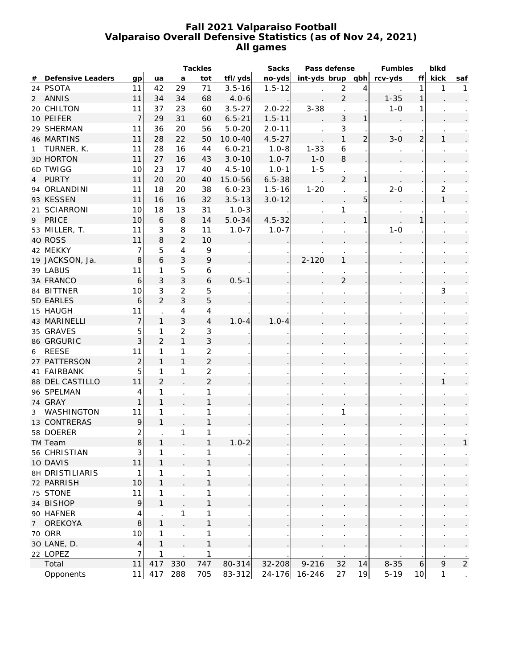### **Fall 2021 Valparaiso Football Valparaiso Overall Defensive Statistics (as of Nov 24, 2021) All games**

|   |                        |                  |                |                | Tackles                  |             | Sacks      |                    | Pass defense     |                | Fumbles  |                  | blkd           |                |
|---|------------------------|------------------|----------------|----------------|--------------------------|-------------|------------|--------------------|------------------|----------------|----------|------------------|----------------|----------------|
| # | Defensive Leaders      | qp               | ua             | a              | tot                      | tfl/yds     | no-yds     | $int-yds$ brup qbh |                  |                | rcv-yds  | ff               | kick           | saf            |
|   | 24 PSOTA               | 11               | 42             | 29             | 71                       | $3.5 - 16$  | $1.5 - 12$ |                    | $\sqrt{2}$       | 4              |          | $\mathbf{1}$     | 1              |                |
|   | 2 ANNIS                | 11               | 34             | 34             | 68                       | $4.0 - 6$   |            |                    | $\overline{2}$   |                | $1 - 35$ | $\mathbf{1}$     |                |                |
|   | 20 CHILTON             | 11               | 37             | 23             | 60                       | $3.5 - 27$  | $2.0 - 22$ | $3 - 38$           |                  |                | $1 - 0$  | 1                |                |                |
|   | 10 PEIFER              | $\overline{7}$   | 29             | 31             | 60                       | $6.5 - 21$  | $1.5 - 11$ |                    | 3                | 1              |          |                  |                |                |
|   | 29 SHERMAN             | 11               | 36             | 20             | 56                       | $5.0 - 20$  | $2.0 - 11$ |                    | $\sqrt{3}$       |                |          |                  |                |                |
|   | 46 MARTINS             | 11               | 28             | 22             | 50                       | $10.0 - 40$ | $4.5 - 27$ |                    | $\mathbf{1}$     | $\overline{2}$ | $3-0$    | $\overline{2}$   | 1              |                |
| 1 | TURNER, K.             | 11               | 28             | 16             | 44                       | $6.0 - 21$  | $1.0 - 8$  | $1 - 33$           | $\boldsymbol{6}$ |                |          |                  |                |                |
|   | <b>3D HORTON</b>       | 11               | 27             | 16             | 43                       | $3.0 - 10$  | $1.0 - 7$  | $1 - 0$            | 8                |                |          |                  |                |                |
|   | 6D TWIGG               | 10               | 23             | 17             | 40                       | $4.5 - 10$  | $1.0 - 1$  | $1 - 5$            |                  |                |          |                  |                |                |
| 4 | PURTY                  | 11               | 20             | 20             | 40                       | 15.0-56     | $6.5 - 38$ |                    | $\overline{2}$   | 1              |          |                  |                |                |
|   | 94 ORLANDINI           | 11               | 18             | 20             | 38                       | $6.0 - 23$  | $1.5 - 16$ | $1 - 20$           |                  |                | $2 - 0$  |                  | $\overline{2}$ |                |
|   | 93 KESSEN              | 11               | 16             | 16             | 32                       | $3.5 - 13$  | $3.0 - 12$ |                    |                  | 5              |          |                  | 1              |                |
|   | 21 SCIARRONI           | 10               | 18             | 13             | 31                       | $1.0 - 3$   |            |                    | 1                |                |          |                  |                |                |
| 9 | PRICE                  | 10               | 6              | 8              | 14                       | $5.0 - 34$  | $4.5 - 32$ |                    |                  |                |          | 1                |                |                |
|   | 53 MILLER, T.          | 11               | $\mathsf 3$    | 8              | 11                       | $1.0 - 7$   | $1.0 - 7$  |                    |                  |                | $1 - 0$  |                  |                |                |
|   | 40 ROSS                | 11               | 8              | $\overline{2}$ | 10                       |             |            |                    |                  |                |          |                  |                |                |
|   | 42 MEKKY               | $\boldsymbol{7}$ | 5              | 4              | 9                        |             |            |                    |                  |                |          |                  |                |                |
|   | 19 JACKSON, Ja.        | 8                | 6              | 3              | $\mathsf 9$              |             |            | $2 - 120$          | $\mathbf{1}$     |                |          |                  |                |                |
|   | 39 LABUS               | 11               | 1              | 5              | 6                        |             |            |                    |                  |                |          |                  |                |                |
|   | 3A FRANCO              | 6                | 3              | 3              | $\boldsymbol{6}$         | $0.5 - 1$   |            |                    | $\overline{2}$   |                |          |                  |                |                |
|   | 84 BITTNER             |                  | $\mathsf 3$    | $\overline{2}$ |                          |             |            |                    |                  |                |          |                  |                |                |
|   |                        | 10               | $\overline{2}$ | 3              | 5                        |             |            |                    |                  |                |          |                  | 3              |                |
|   | 5D EARLES              | 6                |                |                | 5                        |             |            |                    |                  |                |          |                  |                |                |
|   | 15 HAUGH               | 11               |                | 4              | $\overline{\mathcal{A}}$ |             |            |                    |                  |                |          |                  |                |                |
|   | 43 MARINELLI           | $\boldsymbol{7}$ | $\mathbf{1}$   | 3              | $\overline{4}$           | $1.0 - 4$   | $1.0 - 4$  |                    |                  |                |          |                  |                |                |
|   | 35 GRAVES              | 5                | 1              | $\overline{2}$ | 3                        |             |            |                    |                  |                |          |                  |                |                |
|   | 86 GRGURIC             | 3                | $\overline{2}$ | $\mathbf{1}$   | 3                        |             |            |                    |                  |                |          |                  |                |                |
| 6 | <b>REESE</b>           | 11               | 1              | $\mathbf{1}$   | $\overline{2}$           |             |            |                    |                  |                |          |                  |                |                |
|   | 27 PATTERSON           | $\sqrt{2}$       | $\mathbf{1}$   | $\mathbf{1}$   | $\overline{2}$           |             |            |                    |                  |                |          |                  |                |                |
|   | 41 FAIRBANK            | 5                | 1              | $\mathbf{1}$   | $\overline{2}$           |             |            |                    |                  |                |          |                  |                |                |
|   | 88 DEL CASTILLO        | 11               | $\overline{2}$ |                | $\overline{2}$           |             |            |                    |                  |                |          |                  |                |                |
|   | 96 SPELMAN             | 4                | $\mathbf{1}$   |                | 1                        |             |            |                    |                  |                |          |                  |                |                |
|   | 74 GRAY                | $\mathbf{1}$     | $\mathbf{1}$   |                | $\mathbf{1}$             |             |            |                    |                  |                |          |                  |                |                |
| 3 | WASHINGTON             | 11               | $\mathbf{1}$   |                | 1                        |             |            |                    | 1                |                |          |                  |                |                |
|   | 13 CONTRERAS           | $\mathsf q$      | 1              |                | 1                        |             |            |                    |                  |                |          |                  |                |                |
|   | 58 DOERER              | 2                |                | 1              | 1                        |             |            |                    |                  |                |          |                  |                |                |
|   | TM Team                | $\,8$            |                |                |                          | 1.U-2       |            |                    |                  |                |          |                  |                |                |
|   | 56 CHRISTIAN           | $\mathbf{3}$     | 1              |                | 1                        |             |            |                    | $\cdot$          |                |          |                  |                |                |
|   | 10 DAVIS               | 11               | $\mathbf{1}$   |                | $\mathbf{1}$             |             |            |                    |                  |                |          |                  |                |                |
|   | <b>8H DRISTILIARIS</b> | 1                | 1              |                | 1                        |             |            |                    | $\cdot$          |                |          |                  |                |                |
|   | 72 PARRISH             | 10               | $\mathbf{1}$   |                | $\mathbf{1}$             |             |            |                    |                  |                |          |                  |                |                |
|   | 75 STONE               | 11               | 1              |                | 1                        |             |            |                    | $\cdot$          |                |          |                  |                |                |
|   | 34 BISHOP              | $\mathsf q$      | $\mathbf{1}$   |                | $\mathbf{1}$             |             |            |                    |                  |                |          |                  |                |                |
|   | 90 HAFNER              | 4                |                | 1              | 1                        |             |            |                    | $\cdot$          |                |          |                  |                |                |
| 7 | OREKOYA                | 8                | $\mathbf{1}$   |                | $\mathbf{1}$             |             |            |                    |                  |                |          |                  |                |                |
|   | <b>70 ORR</b>          | 10               | 1              | $\cdot$        | 1                        |             |            |                    |                  |                |          |                  |                |                |
|   | 30 LANE, D.            | $\overline{4}$   | $\mathbf{1}$   |                | $\mathbf{1}$             |             |            |                    |                  |                |          |                  |                |                |
|   | 22 LOPEZ               | $\overline{7}$   | 1              |                | 1                        |             |            |                    |                  |                |          |                  |                |                |
|   | Total                  | 11               | 417            | 330            | 747                      | 80-314      | $32 - 208$ | $9 - 216$          | 32               | 14             | $8 - 35$ | $\boldsymbol{6}$ | $\mathsf{Q}$   | $\overline{2}$ |
|   | Opponents              | 11               | 417            | 288            | 705                      | $83 - 312$  | $24 - 176$ | 16-246             | 27               | 19             | $5 - 19$ | 10               | $\mathbf{1}$   |                |